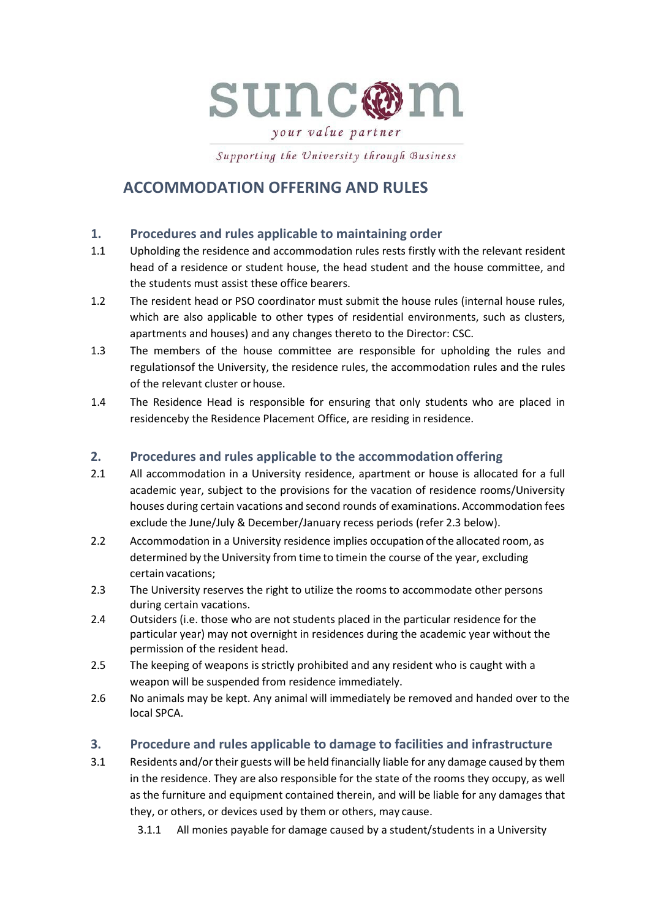

your value partner

Supporting the University through Business

# **ACCOMMODATION OFFERING AND RULES**

# **1. Procedures and rules applicable to maintaining order**

- 1.1 Upholding the residence and accommodation rules rests firstly with the relevant resident head of a residence or student house, the head student and the house committee, and the students must assist these office bearers.
- 1.2 The resident head or PSO coordinator must submit the house rules (internal house rules, which are also applicable to other types of residential environments, such as clusters, apartments and houses) and any changes thereto to the Director: CSC.
- 1.3 The members of the house committee are responsible for upholding the rules and regulationsof the University, the residence rules, the accommodation rules and the rules of the relevant cluster or house.
- 1.4 The Residence Head is responsible for ensuring that only students who are placed in residenceby the Residence Placement Office, are residing in residence.

#### **2. Procedures and rules applicable to the accommodation offering**

- 2.1 All accommodation in a University residence, apartment or house is allocated for a full academic year, subject to the provisions for the vacation of residence rooms/University houses during certain vacations and second rounds of examinations. Accommodation fees exclude the June/July & December/January recess periods (refer 2.3 below).
- 2.2 Accommodation in a University residence implies occupation ofthe allocated room, as determined by the University from time to timein the course of the year, excluding certain vacations;
- 2.3 The University reserves the right to utilize the rooms to accommodate other persons during certain vacations.
- 2.4 Outsiders (i.e. those who are not students placed in the particular residence for the particular year) may not overnight in residences during the academic year without the permission of the resident head.
- 2.5 The keeping of weapons is strictly prohibited and any resident who is caught with a weapon will be suspended from residence immediately.
- 2.6 No animals may be kept. Any animal will immediately be removed and handed over to the local SPCA.

# **3. Procedure and rules applicable to damage to facilities and infrastructure**

3.1 Residents and/ortheir guests will be held financially liable for any damage caused by them in the residence. They are also responsible for the state of the rooms they occupy, as well as the furniture and equipment contained therein, and will be liable for any damages that they, or others, or devices used by them or others, may cause.

3.1.1 All monies payable for damage caused by a student/students in a University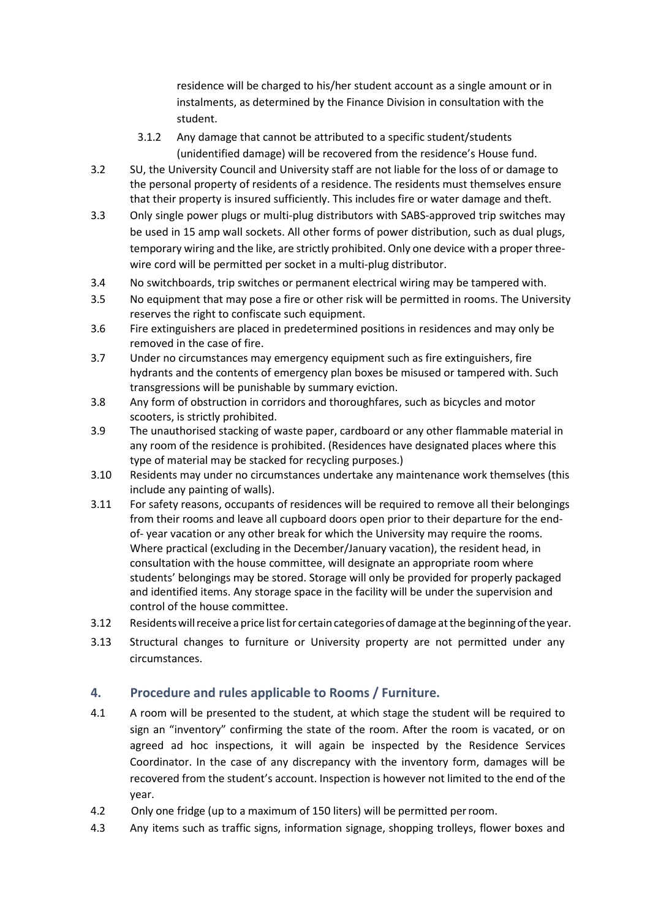residence will be charged to his/her student account as a single amount or in instalments, as determined by the Finance Division in consultation with the student.

- 3.1.2 Any damage that cannot be attributed to a specific student/students (unidentified damage) will be recovered from the residence's House fund.
- 3.2 SU, the University Council and University staff are not liable for the loss of or damage to the personal property of residents of a residence. The residents must themselves ensure that their property is insured sufficiently. This includes fire or water damage and theft.
- 3.3 Only single power plugs or multi-plug distributors with SABS-approved trip switches may be used in 15 amp wall sockets. All other forms of power distribution, such as dual plugs, temporary wiring and the like, are strictly prohibited. Only one device with a proper threewire cord will be permitted per socket in a multi-plug distributor.
- 3.4 No switchboards, trip switches or permanent electrical wiring may be tampered with.
- 3.5 No equipment that may pose a fire or other risk will be permitted in rooms. The University reserves the right to confiscate such equipment.
- 3.6 Fire extinguishers are placed in predetermined positions in residences and may only be removed in the case of fire.
- 3.7 Under no circumstances may emergency equipment such as fire extinguishers, fire hydrants and the contents of emergency plan boxes be misused or tampered with. Such transgressions will be punishable by summary eviction.
- 3.8 Any form of obstruction in corridors and thoroughfares, such as bicycles and motor scooters, is strictly prohibited.
- 3.9 The unauthorised stacking of waste paper, cardboard or any other flammable material in any room of the residence is prohibited. (Residences have designated places where this type of material may be stacked for recycling purposes.)
- 3.10 Residents may under no circumstances undertake any maintenance work themselves (this include any painting of walls).
- 3.11 For safety reasons, occupants of residences will be required to remove all their belongings from their rooms and leave all cupboard doors open prior to their departure for the endof- year vacation or any other break for which the University may require the rooms. Where practical (excluding in the December/January vacation), the resident head, in consultation with the house committee, will designate an appropriate room where students' belongings may be stored. Storage will only be provided for properly packaged and identified items. Any storage space in the facility will be under the supervision and control of the house committee.
- 3.12 Residentswillreceive aprice listfor certaincategoriesof damage atthe beginning ofthe year.
- 3.13 Structural changes to furniture or University property are not permitted under any circumstances.

# **4. Procedure and rules applicable to Rooms / Furniture.**

- 4.1 A room will be presented to the student, at which stage the student will be required to sign an "inventory" confirming the state of the room. After the room is vacated, or on agreed ad hoc inspections, it will again be inspected by the Residence Services Coordinator. In the case of any discrepancy with the inventory form, damages will be recovered from the student's account. Inspection is however not limited to the end of the year.
- 4.2 Only one fridge (up to a maximum of 150 liters) will be permitted perroom.
- 4.3 Any items such as traffic signs, information signage, shopping trolleys, flower boxes and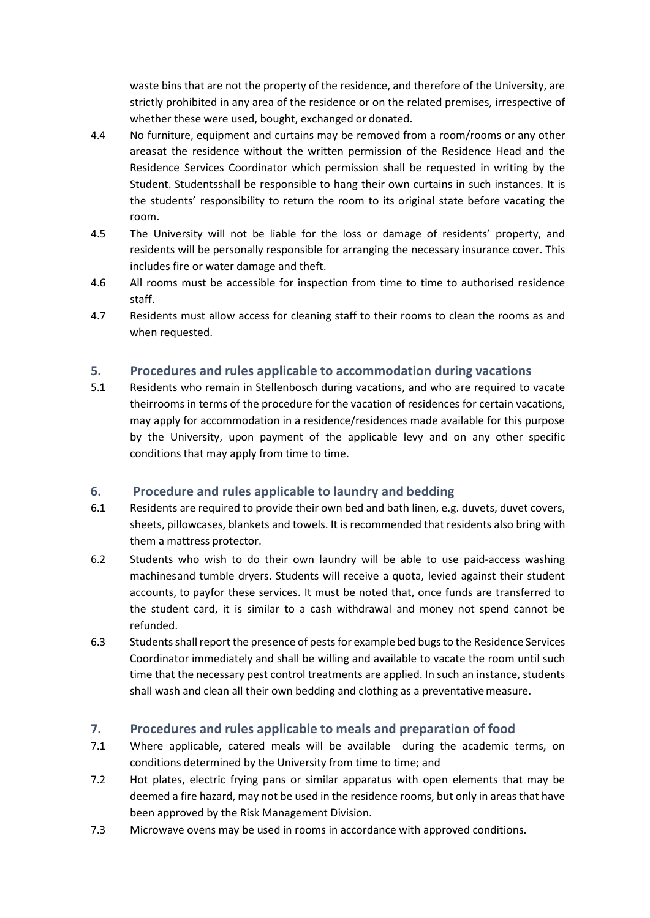waste bins that are not the property of the residence, and therefore of the University, are strictly prohibited in any area of the residence or on the related premises, irrespective of whether these were used, bought, exchanged or donated.

- 4.4 No furniture, equipment and curtains may be removed from a room/rooms or any other areasat the residence without the written permission of the Residence Head and the Residence Services Coordinator which permission shall be requested in writing by the Student. Studentsshall be responsible to hang their own curtains in such instances. It is the students' responsibility to return the room to its original state before vacating the room.
- 4.5 The University will not be liable for the loss or damage of residents' property, and residents will be personally responsible for arranging the necessary insurance cover. This includes fire or water damage and theft.
- 4.6 All rooms must be accessible for inspection from time to time to authorised residence staff.
- 4.7 Residents must allow access for cleaning staff to their rooms to clean the rooms as and when requested.

#### **5. Procedures and rules applicable to accommodation during vacations**

5.1 Residents who remain in Stellenbosch during vacations, and who are required to vacate theirrooms in terms of the procedure for the vacation of residences for certain vacations, may apply for accommodation in a residence/residences made available for this purpose by the University, upon payment of the applicable levy and on any other specific conditions that may apply from time to time.

# **6. Procedure and rules applicable to laundry and bedding**

- 6.1 Residents are required to provide their own bed and bath linen, e.g. duvets, duvet covers, sheets, pillowcases, blankets and towels. It is recommended that residents also bring with them a mattress protector.
- 6.2 Students who wish to do their own laundry will be able to use paid-access washing machinesand tumble dryers. Students will receive a quota, levied against their student accounts, to payfor these services. It must be noted that, once funds are transferred to the student card, it is similar to a cash withdrawal and money not spend cannot be refunded.
- 6.3 Students shall report the presence of pests for example bed bugs to the Residence Services Coordinator immediately and shall be willing and available to vacate the room until such time that the necessary pest control treatments are applied. In such an instance, students shall wash and clean all their own bedding and clothing as a preventativemeasure.

# **7. Procedures and rules applicable to meals and preparation of food**

- 7.1 Where applicable, catered meals will be available during the academic terms, on conditions determined by the University from time to time; and
- 7.2 Hot plates, electric frying pans or similar apparatus with open elements that may be deemed a fire hazard, may not be used in the residence rooms, but only in areas that have been approved by the Risk Management Division.
- 7.3 Microwave ovens may be used in rooms in accordance with approved conditions.